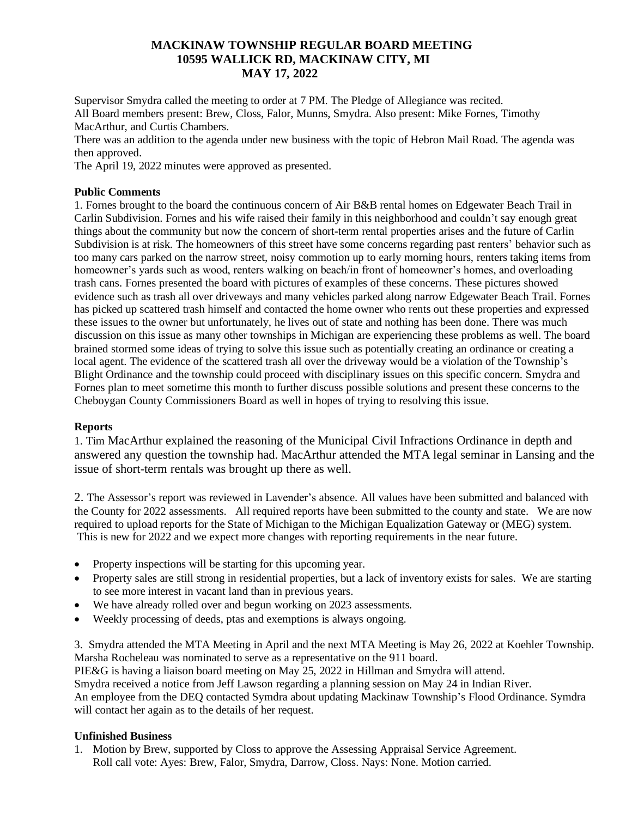# **MACKINAW TOWNSHIP REGULAR BOARD MEETING 10595 WALLICK RD, MACKINAW CITY, MI MAY 17, 2022**

Supervisor Smydra called the meeting to order at 7 PM. The Pledge of Allegiance was recited. All Board members present: Brew, Closs, Falor, Munns, Smydra. Also present: Mike Fornes, Timothy MacArthur, and Curtis Chambers.

There was an addition to the agenda under new business with the topic of Hebron Mail Road. The agenda was then approved.

The April 19, 2022 minutes were approved as presented.

## **Public Comments**

1. Fornes brought to the board the continuous concern of Air B&B rental homes on Edgewater Beach Trail in Carlin Subdivision. Fornes and his wife raised their family in this neighborhood and couldn't say enough great things about the community but now the concern of short-term rental properties arises and the future of Carlin Subdivision is at risk. The homeowners of this street have some concerns regarding past renters' behavior such as too many cars parked on the narrow street, noisy commotion up to early morning hours, renters taking items from homeowner's yards such as wood, renters walking on beach/in front of homeowner's homes, and overloading trash cans. Fornes presented the board with pictures of examples of these concerns. These pictures showed evidence such as trash all over driveways and many vehicles parked along narrow Edgewater Beach Trail. Fornes has picked up scattered trash himself and contacted the home owner who rents out these properties and expressed these issues to the owner but unfortunately, he lives out of state and nothing has been done. There was much discussion on this issue as many other townships in Michigan are experiencing these problems as well. The board brained stormed some ideas of trying to solve this issue such as potentially creating an ordinance or creating a local agent. The evidence of the scattered trash all over the driveway would be a violation of the Township's Blight Ordinance and the township could proceed with disciplinary issues on this specific concern. Smydra and Fornes plan to meet sometime this month to further discuss possible solutions and present these concerns to the Cheboygan County Commissioners Board as well in hopes of trying to resolving this issue.

### **Reports**

1. Tim MacArthur explained the reasoning of the Municipal Civil Infractions Ordinance in depth and answered any question the township had. MacArthur attended the MTA legal seminar in Lansing and the issue of short-term rentals was brought up there as well.

2. The Assessor's report was reviewed in Lavender's absence. All values have been submitted and balanced with the County for 2022 assessments. All required reports have been submitted to the county and state. We are now required to upload reports for the State of Michigan to the Michigan Equalization Gateway or (MEG) system. This is new for 2022 and we expect more changes with reporting requirements in the near future.

- Property inspections will be starting for this upcoming year.
- Property sales are still strong in residential properties, but a lack of inventory exists for sales. We are starting to see more interest in vacant land than in previous years.
- We have already rolled over and begun working on 2023 assessments.
- Weekly processing of deeds, ptas and exemptions is always ongoing.

3. Smydra attended the MTA Meeting in April and the next MTA Meeting is May 26, 2022 at Koehler Township. Marsha Rocheleau was nominated to serve as a representative on the 911 board.

PIE&G is having a liaison board meeting on May 25, 2022 in Hillman and Smydra will attend.

Smydra received a notice from Jeff Lawson regarding a planning session on May 24 in Indian River.

An employee from the DEQ contacted Symdra about updating Mackinaw Township's Flood Ordinance. Symdra will contact her again as to the details of her request.

## **Unfinished Business**

1. Motion by Brew, supported by Closs to approve the Assessing Appraisal Service Agreement. Roll call vote: Ayes: Brew, Falor, Smydra, Darrow, Closs. Nays: None. Motion carried.